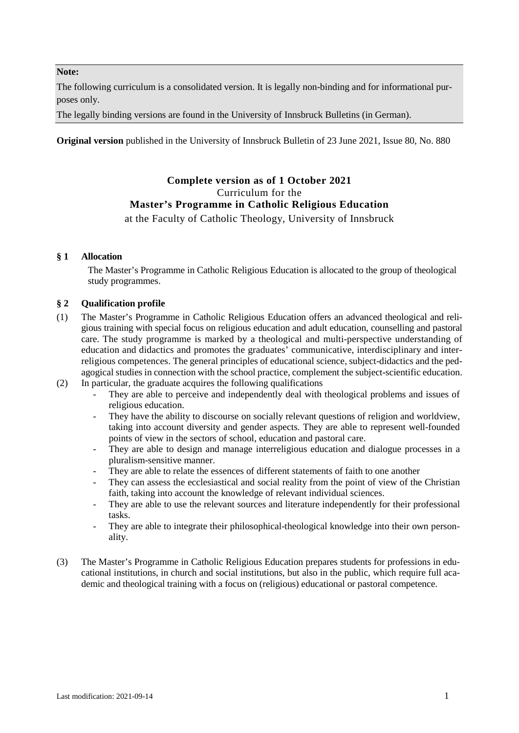#### **Note:**

The following curriculum is a consolidated version. It is legally non-binding and for informational purposes only.

The legally binding versions are found in the University of Innsbruck Bulletins (in German).

**Original version** published in the University of Innsbruck Bulletin of 23 June 2021, Issue 80, No. 880

# **Complete version as of 1 October 2021** Curriculum for the **Master's Programme in Catholic Religious Education**

# at the Faculty of Catholic Theology, University of Innsbruck

# **§ 1 Allocation**

The Master's Programme in Catholic Religious Education is allocated to the group of theological study programmes.

# **§ 2 Qualification profile**

- (1) The Master's Programme in Catholic Religious Education offers an advanced theological and religious training with special focus on religious education and adult education, counselling and pastoral care. The study programme is marked by a theological and multi-perspective understanding of education and didactics and promotes the graduates' communicative, interdisciplinary and interreligious competences. The general principles of educational science, subject-didactics and the pedagogical studies in connection with the school practice, complement the subject-scientific education.
- (2) In particular, the graduate acquires the following qualifications
	- They are able to perceive and independently deal with theological problems and issues of religious education.
	- They have the ability to discourse on socially relevant questions of religion and worldview, taking into account diversity and gender aspects. They are able to represent well-founded points of view in the sectors of school, education and pastoral care.
	- They are able to design and manage interreligious education and dialogue processes in a pluralism-sensitive manner.
	- They are able to relate the essences of different statements of faith to one another
	- They can assess the ecclesiastical and social reality from the point of view of the Christian faith, taking into account the knowledge of relevant individual sciences.
	- They are able to use the relevant sources and literature independently for their professional tasks.
	- They are able to integrate their philosophical-theological knowledge into their own personality.
- (3) The Master's Programme in Catholic Religious Education prepares students for professions in educational institutions, in church and social institutions, but also in the public, which require full academic and theological training with a focus on (religious) educational or pastoral competence.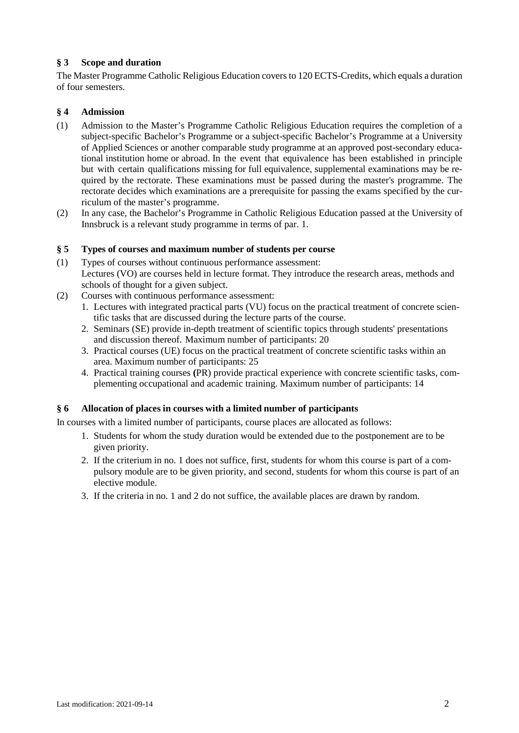# **§ 3 Scope and duration**

The Master Programme Catholic Religious Education covers to 120 ECTS-Credits, which equals a duration of four semesters.

# **§ 4 Admission**

- (1) Admission to the Master's Programme Catholic Religious Education requires the completion of a subject-specific Bachelor's Programme or a subject-specific Bachelor's Programme at a University of Applied Sciences or another comparable study programme at an approved post-secondary educational institution home or abroad. In the event that equivalence has been established in principle but with certain qualifications missing for full equivalence, supplemental examinations may be required by the rectorate. These examinations must be passed during the master's programme. The rectorate decides which examinations are a prerequisite for passing the exams specified by the curriculum of the master's programme.
- (2) In any case, the Bachelor's Programme in Catholic Religious Education passed at the University of Innsbruck is a relevant study programme in terms of par. 1.

# **§ 5 Types of courses and maximum number of students per course**

- (1) Types of courses without continuous performance assessment: Lectures (VO) are courses held in lecture format. They introduce the research areas, methods and schools of thought for a given subject.
- (2) Courses with continuous performance assessment:
	- 1. Lectures with integrated practical parts (VU) focus on the practical treatment of concrete scientific tasks that are discussed during the lecture parts of the course.
	- 2. Seminars (SE) provide in-depth treatment of scientific topics through students' presentations and discussion thereof. Maximum number of participants: 20
	- 3. Practical courses (UE) focus on the practical treatment of concrete scientific tasks within an area. Maximum number of participants: 25
	- 4. Practical training courses **(**PR) provide practical experience with concrete scientific tasks, complementing occupational and academic training. Maximum number of participants: 14

### **§ 6 Allocation of places in courses with a limited number of participants**

In courses with a limited number of participants, course places are allocated as follows:

- 1. Students for whom the study duration would be extended due to the postponement are to be given priority.
- 2. If the criterium in no. 1 does not suffice, first, students for whom this course is part of a compulsory module are to be given priority, and second, students for whom this course is part of an elective module.
- 3. If the criteria in no. 1 and 2 do not suffice, the available places are drawn by random.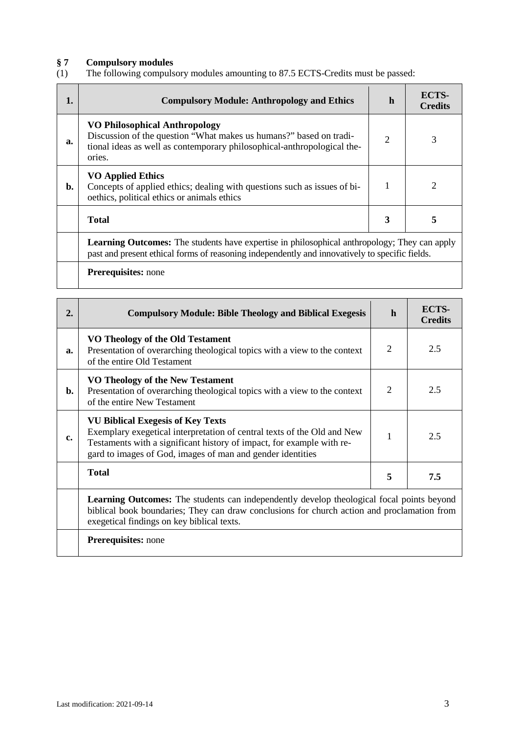# **§ 7 Compulsory modules**

The following compulsory modules amounting to 87.5 ECTS-Credits must be passed:

| 1. | <b>Compulsory Module: Anthropology and Ethics</b>                                                                                                                                                     | h                           | ECTS-<br><b>Credits</b> |
|----|-------------------------------------------------------------------------------------------------------------------------------------------------------------------------------------------------------|-----------------------------|-------------------------|
| a. | <b>VO Philosophical Anthropology</b><br>Discussion of the question "What makes us humans?" based on tradi-<br>tional ideas as well as contemporary philosophical-anthropological the-<br>ories.       | $\mathcal{D}_{\mathcal{L}}$ | 3                       |
| b. | <b>VO Applied Ethics</b><br>Concepts of applied ethics; dealing with questions such as issues of bi-<br>oethics, political ethics or animals ethics                                                   |                             |                         |
|    | Total                                                                                                                                                                                                 | 3                           | 5                       |
|    | <b>Learning Outcomes:</b> The students have expertise in philosophical anthropology; They can apply<br>past and present ethical forms of reasoning independently and innovatively to specific fields. |                             |                         |
|    | <b>Prerequisites:</b> none                                                                                                                                                                            |                             |                         |

| $\overline{2}$ . | <b>Compulsory Module: Bible Theology and Biblical Exegesis</b>                                                                                                                                                                                             | $\mathbf{h}$                | ECTS-<br><b>Credits</b> |
|------------------|------------------------------------------------------------------------------------------------------------------------------------------------------------------------------------------------------------------------------------------------------------|-----------------------------|-------------------------|
| a.               | VO Theology of the Old Testament<br>Presentation of overarching theological topics with a view to the context<br>of the entire Old Testament                                                                                                               | $\mathcal{D}_{\mathcal{L}}$ | 2.5                     |
| b.               | VO Theology of the New Testament<br>Presentation of overarching theological topics with a view to the context<br>of the entire New Testament                                                                                                               | $\mathcal{D}_{\mathcal{L}}$ | 2.5                     |
| c.               | <b>VU Biblical Exegesis of Key Texts</b><br>Exemplary exegetical interpretation of central texts of the Old and New<br>Testaments with a significant history of impact, for example with re-<br>gard to images of God, images of man and gender identities |                             | 2.5                     |
|                  | <b>Total</b>                                                                                                                                                                                                                                               | 5                           | 7.5                     |
|                  | <b>Learning Outcomes:</b> The students can independently develop theological focal points beyond<br>biblical book boundaries; They can draw conclusions for church action and proclamation from<br>exegetical findings on key biblical texts.              |                             |                         |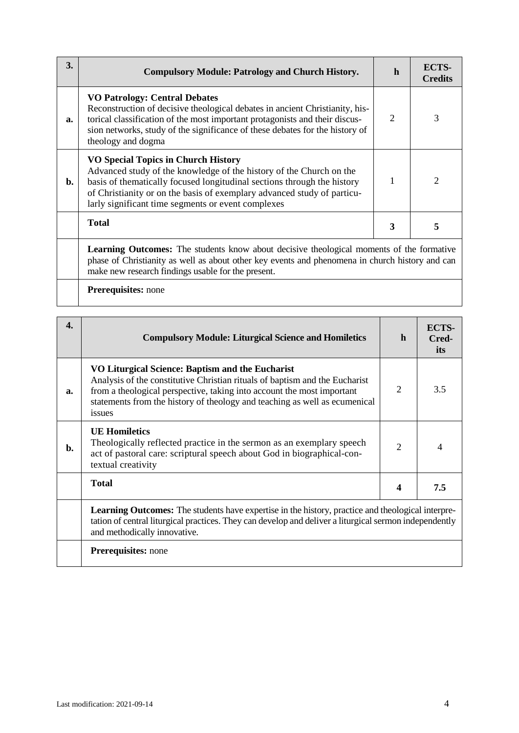| 3. | <b>Compulsory Module: Patrology and Church History.</b>                                                                                                                                                                                                                                                                       | $\mathbf{h}$  | <b>ECTS-</b><br><b>Credits</b> |
|----|-------------------------------------------------------------------------------------------------------------------------------------------------------------------------------------------------------------------------------------------------------------------------------------------------------------------------------|---------------|--------------------------------|
| a. | <b>VO Patrology: Central Debates</b><br>Reconstruction of decisive theological debates in ancient Christianity, his-<br>torical classification of the most important protagonists and their discus-<br>sion networks, study of the significance of these debates for the history of<br>theology and dogma                     | $\mathcal{D}$ | 3                              |
| b. | <b>VO Special Topics in Church History</b><br>Advanced study of the knowledge of the history of the Church on the<br>basis of thematically focused longitudinal sections through the history<br>of Christianity or on the basis of exemplary advanced study of particu-<br>larly significant time segments or event complexes |               | 2                              |
|    | Total                                                                                                                                                                                                                                                                                                                         | 3             | 5                              |
|    | <b>Learning Outcomes:</b> The students know about decisive theological moments of the formative<br>phase of Christianity as well as about other key events and phenomena in church history and can<br>make new research findings usable for the present.                                                                      |               |                                |

| 4. | <b>Compulsory Module: Liturgical Science and Homiletics</b>                                                                                                                                                                                                                                       | $\mathbf{h}$                | ECTS-<br>Cred-<br>its |
|----|---------------------------------------------------------------------------------------------------------------------------------------------------------------------------------------------------------------------------------------------------------------------------------------------------|-----------------------------|-----------------------|
| a. | VO Liturgical Science: Baptism and the Eucharist<br>Analysis of the constitutive Christian rituals of baptism and the Eucharist<br>from a theological perspective, taking into account the most important<br>statements from the history of theology and teaching as well as ecumenical<br>issues | $\overline{2}$              | 3.5                   |
| b. | <b>UE Homiletics</b><br>Theologically reflected practice in the sermon as an exemplary speech<br>act of pastoral care: scriptural speech about God in biographical-con-<br>textual creativity                                                                                                     | $\mathcal{D}_{\mathcal{L}}$ | 4                     |
|    | <b>Total</b>                                                                                                                                                                                                                                                                                      | 4                           | 7.5                   |
|    | <b>Learning Outcomes:</b> The students have expertise in the history, practice and theological interpre-<br>tation of central liturgical practices. They can develop and deliver a liturgical sermon independently<br>and methodically innovative.                                                |                             |                       |
|    | Prerequisites: none                                                                                                                                                                                                                                                                               |                             |                       |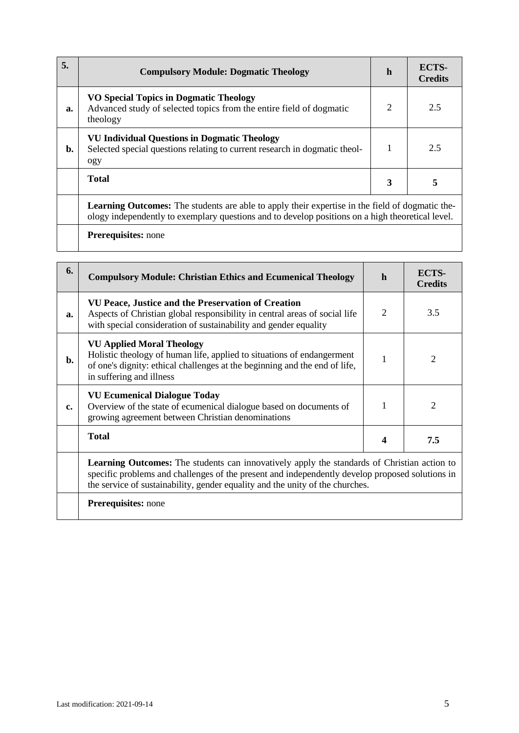| 5. | <b>Compulsory Module: Dogmatic Theology</b>                                                                                                                                                                | h | ECTS-<br><b>Credits</b> |
|----|------------------------------------------------------------------------------------------------------------------------------------------------------------------------------------------------------------|---|-------------------------|
| a. | <b>VO Special Topics in Dogmatic Theology</b><br>Advanced study of selected topics from the entire field of dogmatic<br>theology                                                                           | 2 | 2.5                     |
| b. | <b>VU Individual Questions in Dogmatic Theology</b><br>Selected special questions relating to current research in dogmatic theol-<br>ogy                                                                   |   | 2.5                     |
|    | <b>Total</b>                                                                                                                                                                                               | 3 | 5                       |
|    | <b>Learning Outcomes:</b> The students are able to apply their expertise in the field of dogmatic the-<br>ology independently to exemplary questions and to develop positions on a high theoretical level. |   |                         |
|    | <b>Prerequisites:</b> none                                                                                                                                                                                 |   |                         |

| 6. | <b>Compulsory Module: Christian Ethics and Ecumenical Theology</b>                                                                                                                                                                                                                     | $\mathbf{h}$   | ECTS-<br><b>Credits</b>     |
|----|----------------------------------------------------------------------------------------------------------------------------------------------------------------------------------------------------------------------------------------------------------------------------------------|----------------|-----------------------------|
| a. | VU Peace, Justice and the Preservation of Creation<br>Aspects of Christian global responsibility in central areas of social life<br>with special consideration of sustainability and gender equality                                                                                   | $\overline{2}$ | 3.5                         |
| b. | <b>VU Applied Moral Theology</b><br>Holistic theology of human life, applied to situations of endangerment<br>of one's dignity: ethical challenges at the beginning and the end of life,<br>in suffering and illness                                                                   | 1              | $\mathcal{D}_{\mathcal{L}}$ |
| c. | <b>VU Ecumenical Dialogue Today</b><br>Overview of the state of ecumenical dialogue based on documents of<br>growing agreement between Christian denominations                                                                                                                         | 1              | $\mathcal{D}_{\mathcal{L}}$ |
|    | <b>Total</b>                                                                                                                                                                                                                                                                           | 4              | 7.5                         |
|    | <b>Learning Outcomes:</b> The students can innovatively apply the standards of Christian action to<br>specific problems and challenges of the present and independently develop proposed solutions in<br>the service of sustainability, gender equality and the unity of the churches. |                |                             |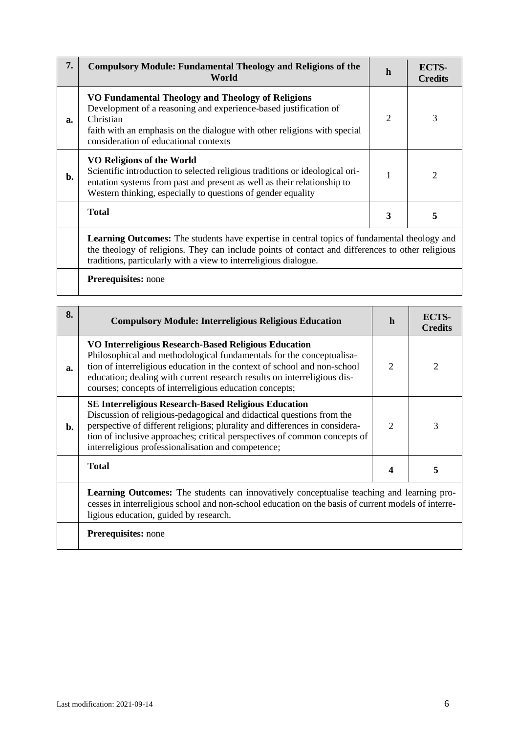| 7. | <b>Compulsory Module: Fundamental Theology and Religions of the</b><br>World                                                                                                                                                                                                | $\mathbf h$                 | ECTS-<br><b>Credits</b> |
|----|-----------------------------------------------------------------------------------------------------------------------------------------------------------------------------------------------------------------------------------------------------------------------------|-----------------------------|-------------------------|
| a. | VO Fundamental Theology and Theology of Religions<br>Development of a reasoning and experience-based justification of<br>Christian<br>faith with an emphasis on the dialogue with other religions with special<br>consideration of educational contexts                     | $\mathcal{D}_{\mathcal{L}}$ | 3                       |
| b. | VO Religions of the World<br>Scientific introduction to selected religious traditions or ideological ori-<br>entation systems from past and present as well as their relationship to<br>Western thinking, especially to questions of gender equality                        |                             | 2                       |
|    | <b>Total</b>                                                                                                                                                                                                                                                                | 3                           | 5                       |
|    | <b>Learning Outcomes:</b> The students have expertise in central topics of fundamental theology and<br>the theology of religions. They can include points of contact and differences to other religious<br>traditions, particularly with a view to interreligious dialogue. |                             |                         |

| 8. | <b>Compulsory Module: Interreligious Religious Education</b>                                                                                                                                                                                                                                                                                           | h                           | ECTS-<br><b>Credits</b> |
|----|--------------------------------------------------------------------------------------------------------------------------------------------------------------------------------------------------------------------------------------------------------------------------------------------------------------------------------------------------------|-----------------------------|-------------------------|
| a. | VO Interreligious Research-Based Religious Education<br>Philosophical and methodological fundamentals for the conceptualisa-<br>tion of interreligious education in the context of school and non-school<br>education; dealing with current research results on interreligious dis-<br>courses; concepts of interreligious education concepts;         | $\mathcal{D}_{\mathcal{L}}$ | 2                       |
| b. | <b>SE Interreligious Research-Based Religious Education</b><br>Discussion of religious-pedagogical and didactical questions from the<br>perspective of different religions; plurality and differences in considera-<br>tion of inclusive approaches; critical perspectives of common concepts of<br>interreligious professionalisation and competence; | $\mathcal{D}$               | 3                       |
|    | <b>Total</b>                                                                                                                                                                                                                                                                                                                                           |                             | 5                       |
|    | <b>Learning Outcomes:</b> The students can innovatively conceptualise teaching and learning pro-<br>cesses in interreligious school and non-school education on the basis of current models of interre-<br>ligious education, guided by research.                                                                                                      |                             |                         |
|    | <b>Prerequisites:</b> none                                                                                                                                                                                                                                                                                                                             |                             |                         |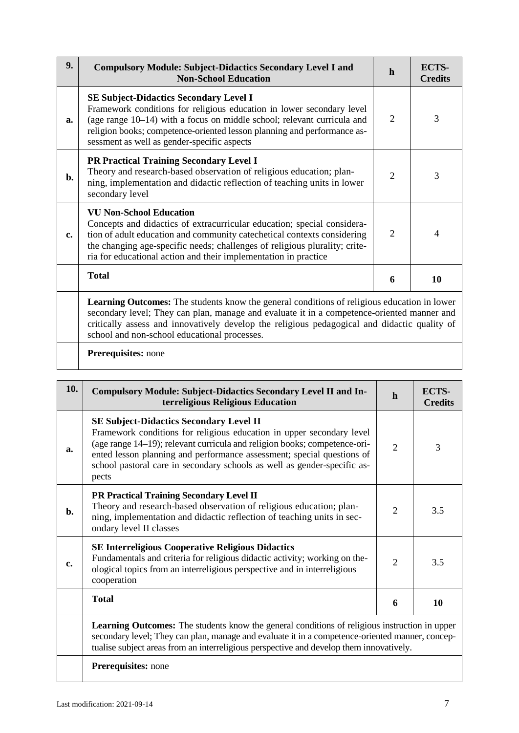| 9.             | <b>Compulsory Module: Subject-Didactics Secondary Level I and</b><br><b>Non-School Education</b>                                                                                                                                                                                                                                                 | $\mathbf{h}$   | <b>ECTS-</b><br><b>Credits</b> |
|----------------|--------------------------------------------------------------------------------------------------------------------------------------------------------------------------------------------------------------------------------------------------------------------------------------------------------------------------------------------------|----------------|--------------------------------|
| a.             | <b>SE Subject-Didactics Secondary Level I</b><br>Framework conditions for religious education in lower secondary level<br>(age range 10-14) with a focus on middle school; relevant curricula and<br>religion books; competence-oriented lesson planning and performance as-<br>sessment as well as gender-specific aspects                      | $\overline{2}$ | 3                              |
| $\mathbf{b}$ . | <b>PR Practical Training Secondary Level I</b><br>Theory and research-based observation of religious education; plan-<br>ning, implementation and didactic reflection of teaching units in lower<br>secondary level                                                                                                                              | $\overline{2}$ | 3                              |
| c.             | <b>VU Non-School Education</b><br>Concepts and didactics of extracurricular education; special considera-<br>tion of adult education and community catechetical contexts considering<br>the changing age-specific needs; challenges of religious plurality; crite-<br>ria for educational action and their implementation in practice            | $\overline{2}$ | $\overline{4}$                 |
|                | <b>Total</b>                                                                                                                                                                                                                                                                                                                                     | 6              | 10                             |
|                | <b>Learning Outcomes:</b> The students know the general conditions of religious education in lower<br>secondary level; They can plan, manage and evaluate it in a competence-oriented manner and<br>critically assess and innovatively develop the religious pedagogical and didactic quality of<br>school and non-school educational processes. |                |                                |
|                | Prerequisites: none                                                                                                                                                                                                                                                                                                                              |                |                                |

| 10. | <b>Compulsory Module: Subject-Didactics Secondary Level II and In-</b><br>terreligious Religious Education                                                                                                                                                                                                                                                          | $\mathbf h$                 | ECTS-<br><b>Credits</b> |
|-----|---------------------------------------------------------------------------------------------------------------------------------------------------------------------------------------------------------------------------------------------------------------------------------------------------------------------------------------------------------------------|-----------------------------|-------------------------|
| a.  | <b>SE Subject-Didactics Secondary Level II</b><br>Framework conditions for religious education in upper secondary level<br>(age range 14-19); relevant curricula and religion books; competence-ori-<br>ented lesson planning and performance assessment; special questions of<br>school pastoral care in secondary schools as well as gender-specific as-<br>pects | $\mathcal{D}_{\mathcal{L}}$ | 3                       |
| b.  | PR Practical Training Secondary Level II<br>Theory and research-based observation of religious education; plan-<br>ning, implementation and didactic reflection of teaching units in sec-<br>ondary level II classes                                                                                                                                                | $\overline{2}$              | 3.5                     |
| c.  | <b>SE Interreligious Cooperative Religious Didactics</b><br>Fundamentals and criteria for religious didactic activity; working on the-<br>ological topics from an interreligious perspective and in interreligious<br>cooperation                                                                                                                                   | $\overline{2}$              | 3.5                     |
|     | <b>Total</b>                                                                                                                                                                                                                                                                                                                                                        | 6                           | 10                      |
|     | <b>Learning Outcomes:</b> The students know the general conditions of religious instruction in upper<br>secondary level; They can plan, manage and evaluate it in a competence-oriented manner, concep-<br>tualise subject areas from an interreligious perspective and develop them innovatively.                                                                  |                             |                         |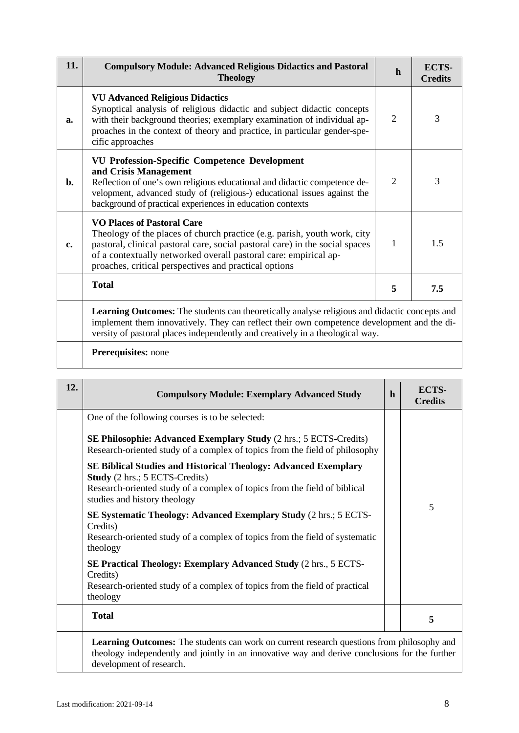| 11.            | <b>Compulsory Module: Advanced Religious Didactics and Pastoral</b><br><b>Theology</b>                                                                                                                                                                                                                                     | $\mathbf{h}$   | ECTS-<br><b>Credits</b> |
|----------------|----------------------------------------------------------------------------------------------------------------------------------------------------------------------------------------------------------------------------------------------------------------------------------------------------------------------------|----------------|-------------------------|
| a.             | <b>VU Advanced Religious Didactics</b><br>Synoptical analysis of religious didactic and subject didactic concepts<br>with their background theories; exemplary examination of individual ap-<br>proaches in the context of theory and practice, in particular gender-spe-<br>cific approaches                              | $\overline{2}$ | 3                       |
| $\mathbf{b}$ . | <b>VU Profession-Specific Competence Development</b><br>and Crisis Management<br>Reflection of one's own religious educational and didactic competence de-<br>velopment, advanced study of (religious-) educational issues against the<br>background of practical experiences in education contexts                        | $\overline{2}$ | 3                       |
| c.             | <b>VO Places of Pastoral Care</b><br>Theology of the places of church practice (e.g. parish, youth work, city<br>pastoral, clinical pastoral care, social pastoral care) in the social spaces<br>of a contextually networked overall pastoral care: empirical ap-<br>proaches, critical perspectives and practical options | 1              | 1.5                     |
|                | <b>Total</b>                                                                                                                                                                                                                                                                                                               | 5              | 7.5                     |
|                | Learning Outcomes: The students can theoretically analyse religious and didactic concepts and<br>implement them innovatively. They can reflect their own competence development and the di-                                                                                                                                |                |                         |

versity of pastoral places independently and creatively in a theological way.

# **Prerequisites:** none

| 12. | <b>Compulsory Module: Exemplary Advanced Study</b>                                                                                                                                                                           | $\mathbf{h}$ | ECTS-<br><b>Credits</b> |
|-----|------------------------------------------------------------------------------------------------------------------------------------------------------------------------------------------------------------------------------|--------------|-------------------------|
|     | One of the following courses is to be selected:                                                                                                                                                                              |              |                         |
|     | <b>SE Philosophie: Advanced Exemplary Study</b> (2 hrs.; 5 ECTS-Credits)<br>Research-oriented study of a complex of topics from the field of philosophy                                                                      |              |                         |
|     | <b>SE Biblical Studies and Historical Theology: Advanced Exemplary</b><br><b>Study</b> (2 hrs.; 5 ECTS-Credits)<br>Research-oriented study of a complex of topics from the field of biblical<br>studies and history theology |              |                         |
|     | <b>SE Systematic Theology: Advanced Exemplary Study (2 hrs.; 5 ECTS-</b><br>Credits)<br>Research-oriented study of a complex of topics from the field of systematic<br>theology                                              |              | 5                       |
|     | <b>SE Practical Theology: Exemplary Advanced Study (2 hrs., 5 ECTS-</b><br>Credits)<br>Research-oriented study of a complex of topics from the field of practical<br>theology                                                |              |                         |
|     | <b>Total</b>                                                                                                                                                                                                                 |              | 5                       |

theology independently and jointly in an innovative way and derive conclusions for the further development of research.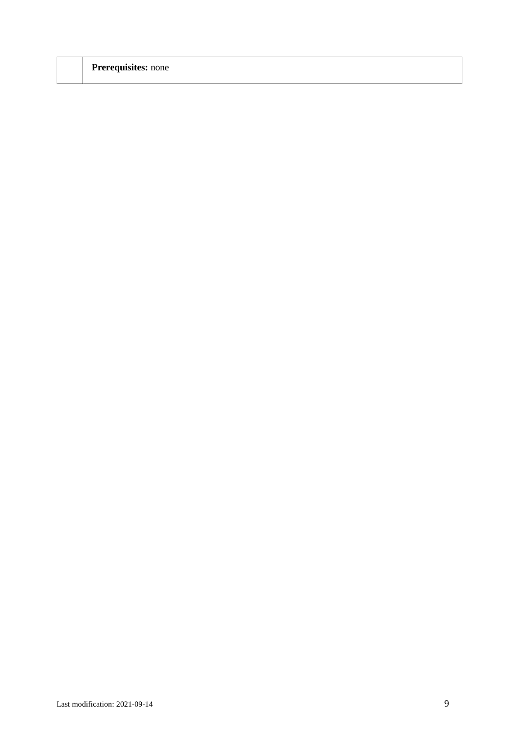| <b>Prerequisites:</b> none |  |  |
|----------------------------|--|--|
|                            |  |  |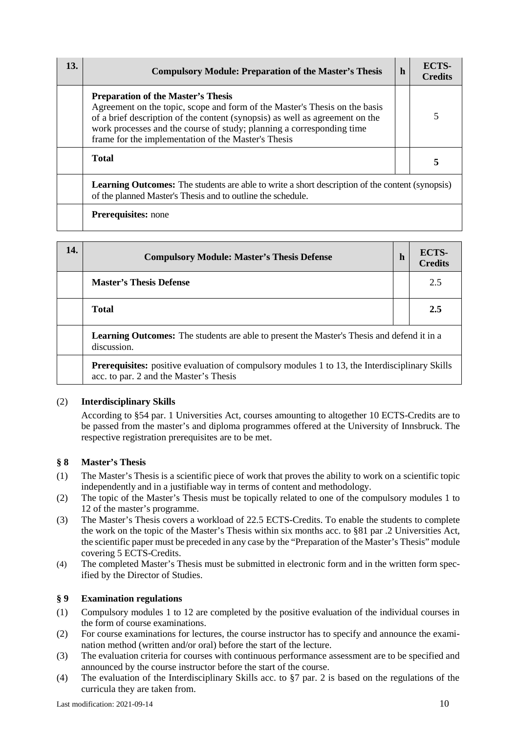| 13. | <b>Compulsory Module: Preparation of the Master's Thesis</b>                                                                                                                                                                                                                                                                            | $\mathbf{h}$ | <b>ECTS-</b><br><b>Credits</b> |  |  |  |
|-----|-----------------------------------------------------------------------------------------------------------------------------------------------------------------------------------------------------------------------------------------------------------------------------------------------------------------------------------------|--------------|--------------------------------|--|--|--|
|     | <b>Preparation of the Master's Thesis</b><br>Agreement on the topic, scope and form of the Master's Thesis on the basis<br>of a brief description of the content (synopsis) as well as agreement on the<br>work processes and the course of study; planning a corresponding time<br>frame for the implementation of the Master's Thesis |              |                                |  |  |  |
|     | <b>Total</b>                                                                                                                                                                                                                                                                                                                            |              | 5                              |  |  |  |
|     | <b>Learning Outcomes:</b> The students are able to write a short description of the content (synopsis)<br>of the planned Master's Thesis and to outline the schedule.                                                                                                                                                                   |              |                                |  |  |  |
|     | <b>Prerequisites:</b> none                                                                                                                                                                                                                                                                                                              |              |                                |  |  |  |

| 14. | <b>Compulsory Module: Master's Thesis Defense</b>                                                                                               | h | ECTS-<br><b>Credits</b> |  |  |  |
|-----|-------------------------------------------------------------------------------------------------------------------------------------------------|---|-------------------------|--|--|--|
|     | <b>Master's Thesis Defense</b>                                                                                                                  |   | 2.5                     |  |  |  |
|     | <b>Total</b>                                                                                                                                    |   | 2.5                     |  |  |  |
|     | <b>Learning Outcomes:</b> The students are able to present the Master's Thesis and defend it in a<br>discussion.                                |   |                         |  |  |  |
|     | <b>Prerequisites:</b> positive evaluation of compulsory modules 1 to 13, the Interdisciplinary Skills<br>acc. to par. 2 and the Master's Thesis |   |                         |  |  |  |

# (2) **Interdisciplinary Skills**

According to §54 par. 1 Universities Act, courses amounting to altogether 10 ECTS-Credits are to be passed from the master's and diploma programmes offered at the University of Innsbruck. The respective registration prerequisites are to be met.

# **§ 8 Master's Thesis**

- (1) The Master's Thesis is a scientific piece of work that proves the ability to work on a scientific topic independently and in a justifiable way in terms of content and methodology.
- (2) The topic of the Master's Thesis must be topically related to one of the compulsory modules 1 to 12 of the master's programme.
- (3) The Master's Thesis covers a workload of 22.5 ECTS-Credits. To enable the students to complete the work on the topic of the Master's Thesis within six months acc. to §81 par .2 Universities Act, the scientific paper must be preceded in any case by the "Preparation of the Master's Thesis" module covering 5 ECTS-Credits.
- (4) The completed Master's Thesis must be submitted in electronic form and in the written form specified by the Director of Studies.

### **§ 9 Examination regulations**

- (1) Compulsory modules 1 to 12 are completed by the positive evaluation of the individual courses in the form of course examinations.
- (2) For course examinations for lectures, the course instructor has to specify and announce the examination method (written and/or oral) before the start of the lecture.
- (3) The evaluation criteria for courses with continuous performance assessment are to be specified and announced by the course instructor before the start of the course.
- (4) The evaluation of the Interdisciplinary Skills acc. to §7 par. 2 is based on the regulations of the curricula they are taken from.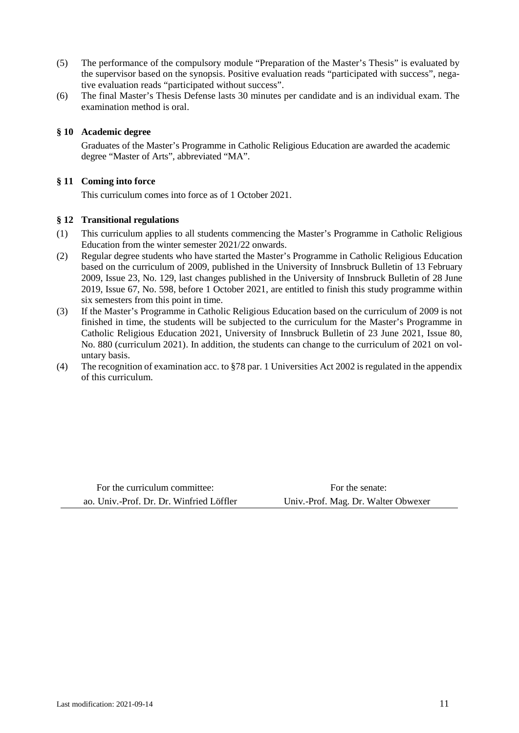- (5) The performance of the compulsory module "Preparation of the Master's Thesis" is evaluated by the supervisor based on the synopsis. Positive evaluation reads "participated with success", negative evaluation reads "participated without success".
- (6) The final Master's Thesis Defense lasts 30 minutes per candidate and is an individual exam. The examination method is oral.

## **§ 10 Academic degree**

Graduates of the Master's Programme in Catholic Religious Education are awarded the academic degree "Master of Arts", abbreviated "MA".

# **§ 11 Coming into force**

This curriculum comes into force as of 1 October 2021.

### **§ 12 Transitional regulations**

- (1) This curriculum applies to all students commencing the Master's Programme in Catholic Religious Education from the winter semester 2021/22 onwards.
- (2) Regular degree students who have started the Master's Programme in Catholic Religious Education based on the curriculum of 2009, published in the University of Innsbruck Bulletin of 13 February 2009, Issue 23, No. 129, last changes published in the University of Innsbruck Bulletin of 28 June 2019, Issue 67, No. 598, before 1 October 2021, are entitled to finish this study programme within six semesters from this point in time.
- (3) If the Master's Programme in Catholic Religious Education based on the curriculum of 2009 is not finished in time, the students will be subjected to the curriculum for the Master's Programme in Catholic Religious Education 2021, University of Innsbruck Bulletin of 23 June 2021, Issue 80, No. 880 (curriculum 2021). In addition, the students can change to the curriculum of 2021 on voluntary basis.
- (4) The recognition of examination acc. to §78 par. 1 Universities Act 2002 is regulated in the appendix of this curriculum.

For the curriculum committee: For the senate: ao. Univ.-Prof. Dr. Dr. Winfried Löffler Univ.-Prof. Mag. Dr. Walter Obwexer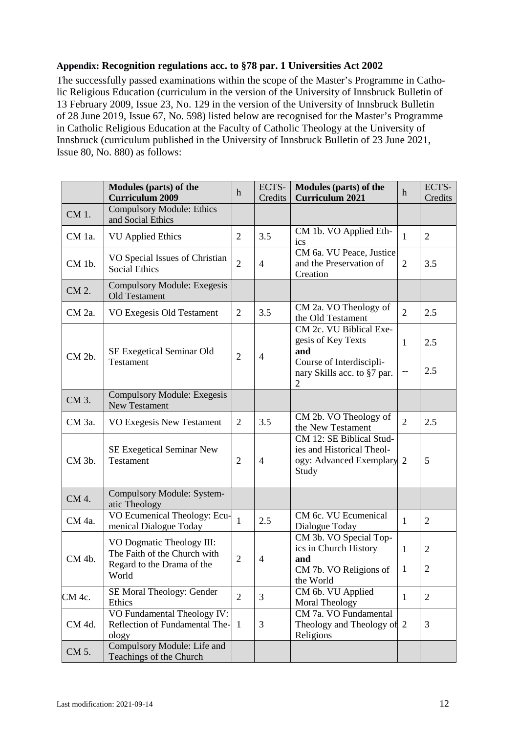# **Appendix: Recognition regulations acc. to §78 par. 1 Universities Act 2002**

The successfully passed examinations within the scope of the Master's Programme in Catholic Religious Education (curriculum in the version of the University of Innsbruck Bulletin of 13 February 2009, Issue 23, No. 129 in the version of the University of Innsbruck Bulletin of 28 June 2019, Issue 67, No. 598) listed below are recognised for the Master's Programme in Catholic Religious Education at the Faculty of Catholic Theology at the University of Innsbruck (curriculum published in the University of Innsbruck Bulletin of 23 June 2021, Issue 80, No. 880) as follows:

|        | Modules (parts) of the<br><b>Curriculum 2009</b>                                                 | $\mathbf h$    | ECTS-<br>Credits | <b>Modules (parts) of the</b><br><b>Curriculum 2021</b>                                     | h              | ECTS-<br>Credits |
|--------|--------------------------------------------------------------------------------------------------|----------------|------------------|---------------------------------------------------------------------------------------------|----------------|------------------|
| CM 1.  | <b>Compulsory Module: Ethics</b><br>and Social Ethics                                            |                |                  |                                                                                             |                |                  |
| CM 1a. | <b>VU</b> Applied Ethics                                                                         | $\overline{2}$ | 3.5              | CM 1b. VO Applied Eth-<br>ics                                                               | $\mathbf{1}$   | $\overline{2}$   |
| CM 1b. | VO Special Issues of Christian<br><b>Social Ethics</b>                                           | $\overline{2}$ | $\overline{4}$   | CM 6a. VU Peace, Justice<br>and the Preservation of<br>Creation                             | $\overline{2}$ | 3.5              |
| CM 2.  | <b>Compulsory Module: Exegesis</b><br>Old Testament                                              |                |                  |                                                                                             |                |                  |
| CM 2a. | VO Exegesis Old Testament                                                                        | $\overline{2}$ | 3.5              | CM 2a. VO Theology of<br>the Old Testament                                                  | $\overline{2}$ | 2.5              |
| CM 2b. | SE Exegetical Seminar Old<br><b>Testament</b>                                                    | $\overline{2}$ | $\overline{4}$   | CM 2c. VU Biblical Exe-<br>gesis of Key Texts<br>and<br>Course of Interdiscipli-            | $\mathbf{1}$   | 2.5<br>2.5       |
|        |                                                                                                  |                |                  | nary Skills acc. to §7 par.<br>$\overline{2}$                                               |                |                  |
| CM 3.  | <b>Compulsory Module: Exegesis</b><br><b>New Testament</b>                                       |                |                  |                                                                                             |                |                  |
| CM 3a. | VO Exegesis New Testament                                                                        | $\overline{2}$ | 3.5              | CM 2b. VO Theology of<br>the New Testament                                                  | $\overline{2}$ | 2.5              |
| CM 3b. | <b>SE Exegetical Seminar New</b><br>Testament                                                    | $\overline{2}$ | $\overline{4}$   | CM 12: SE Biblical Stud-<br>ies and Historical Theol-<br>ogy: Advanced Exemplary 2<br>Study |                | 5                |
| CM 4.  | Compulsory Module: System-<br>atic Theology                                                      |                |                  |                                                                                             |                |                  |
| CM 4a. | VO Ecumenical Theology: Ecu-<br>menical Dialogue Today                                           | $\mathbf{1}$   | 2.5              | CM 6c. VU Ecumenical<br>Dialogue Today                                                      | $\mathbf{1}$   | $\overline{2}$   |
| CM 4b. | VO Dogmatic Theology III:<br>The Faith of the Church with<br>Regard to the Drama of the<br>World | $\overline{2}$ | 4                | CM 3b. VO Special Top-<br>ics in Church History<br>and                                      | $\mathbf{1}$   | 2                |
|        |                                                                                                  |                |                  | CM 7b. VO Religions of<br>the World                                                         | $\mathbf{1}$   | $\mathbf{2}$     |
| CM 4c. | SE Moral Theology: Gender<br>Ethics                                                              | $\overline{2}$ | 3                | CM 6b. VU Applied<br><b>Moral Theology</b>                                                  | 1              | $\overline{2}$   |
| CM 4d. | VO Fundamental Theology IV:<br>Reflection of Fundamental The-<br>ology                           | -1             | 3                | CM 7a. VO Fundamental<br>Theology and Theology of 2<br>Religions                            |                | 3                |
| CM 5.  | Compulsory Module: Life and<br>Teachings of the Church                                           |                |                  |                                                                                             |                |                  |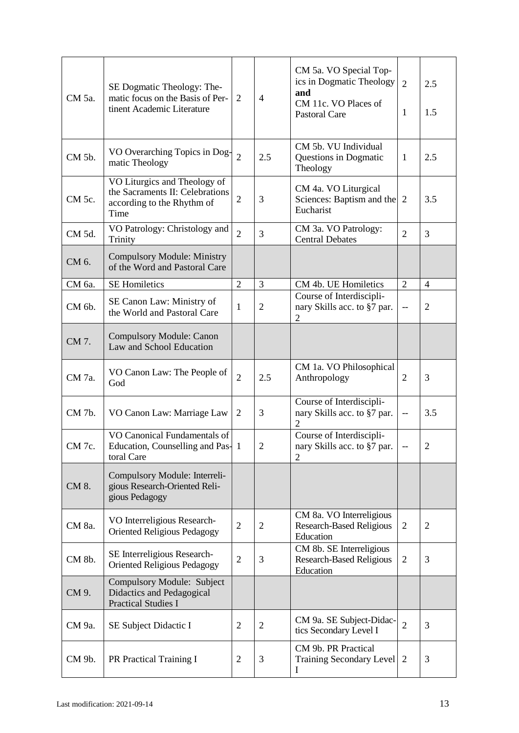| CM 5a. | SE Dogmatic Theology: The-<br>matic focus on the Basis of Per-<br>tinent Academic Literature          | 2              | $\overline{4}$ | CM 5a. VO Special Top-<br>ics in Dogmatic Theology<br>and<br>CM 11c. VO Places of<br><b>Pastoral Care</b> | $\overline{2}$<br>1      | 2.5<br>1.5     |
|--------|-------------------------------------------------------------------------------------------------------|----------------|----------------|-----------------------------------------------------------------------------------------------------------|--------------------------|----------------|
| CM 5b. | VO Overarching Topics in Dog-<br>matic Theology                                                       | $\overline{2}$ | 2.5            | CM 5b. VU Individual<br>Questions in Dogmatic<br>Theology                                                 | $\mathbf{1}$             | 2.5            |
| CM 5c. | VO Liturgics and Theology of<br>the Sacraments II: Celebrations<br>according to the Rhythm of<br>Time | $\overline{2}$ | 3              | CM 4a. VO Liturgical<br>Sciences: Baptism and the<br>Eucharist                                            | 2                        | 3.5            |
| CM 5d. | VO Patrology: Christology and<br>Trinity                                                              | $\overline{2}$ | 3              | CM 3a. VO Patrology:<br><b>Central Debates</b>                                                            | $\overline{2}$           | 3              |
| CM 6.  | <b>Compulsory Module: Ministry</b><br>of the Word and Pastoral Care                                   |                |                |                                                                                                           |                          |                |
| CM 6a. | <b>SE Homiletics</b>                                                                                  | $\overline{2}$ | 3              | CM 4b. UE Homiletics                                                                                      | $\overline{2}$           | $\overline{4}$ |
| CM 6b. | SE Canon Law: Ministry of<br>the World and Pastoral Care                                              | 1              | $\overline{2}$ | Course of Interdiscipli-<br>nary Skills acc. to §7 par.<br>$\overline{2}$                                 | --                       | $\overline{2}$ |
| CM 7.  | <b>Compulsory Module: Canon</b><br>Law and School Education                                           |                |                |                                                                                                           |                          |                |
| CM 7a. | VO Canon Law: The People of<br>God                                                                    | $\overline{2}$ | 2.5            | CM 1a. VO Philosophical<br>Anthropology                                                                   | $\overline{2}$           | 3              |
| CM 7b. | VO Canon Law: Marriage Law                                                                            | 2              | 3              | Course of Interdiscipli-<br>nary Skills acc. to §7 par.<br>$\overline{2}$                                 | $\overline{\phantom{a}}$ | 3.5            |
| CM 7c. | VO Canonical Fundamentals of<br>Education, Counselling and Pas-1<br>toral Care                        |                | $\overline{c}$ | Course of Interdiscipli-<br>nary Skills acc. to §7 par.<br>$\overline{2}$                                 |                          | $\mathfrak{2}$ |
| CM 8.  | Compulsory Module: Interreli-<br>gious Research-Oriented Reli-<br>gious Pedagogy                      |                |                |                                                                                                           |                          |                |
| CM 8a. | VO Interreligious Research-<br>Oriented Religious Pedagogy                                            | $\overline{2}$ | $\overline{2}$ | CM 8a. VO Interreligious<br><b>Research-Based Religious</b><br>Education                                  | $\overline{2}$           | $\overline{2}$ |
| CM 8b. | SE Interreligious Research-<br><b>Oriented Religious Pedagogy</b>                                     | $\overline{2}$ | 3              | CM 8b. SE Interreligious<br><b>Research-Based Religious</b><br>Education                                  | $\overline{2}$           | 3              |
| CM 9.  | Compulsory Module: Subject<br>Didactics and Pedagogical<br><b>Practical Studies I</b>                 |                |                |                                                                                                           |                          |                |
| CM 9a. | SE Subject Didactic I                                                                                 | $\overline{2}$ | $\overline{2}$ | CM 9a. SE Subject-Didac-<br>tics Secondary Level I                                                        | $\overline{2}$           | 3              |
| CM 9b. | PR Practical Training I                                                                               | $\overline{2}$ | 3              | CM 9b. PR Practical<br>Training Secondary Level<br>I                                                      | 2                        | 3              |